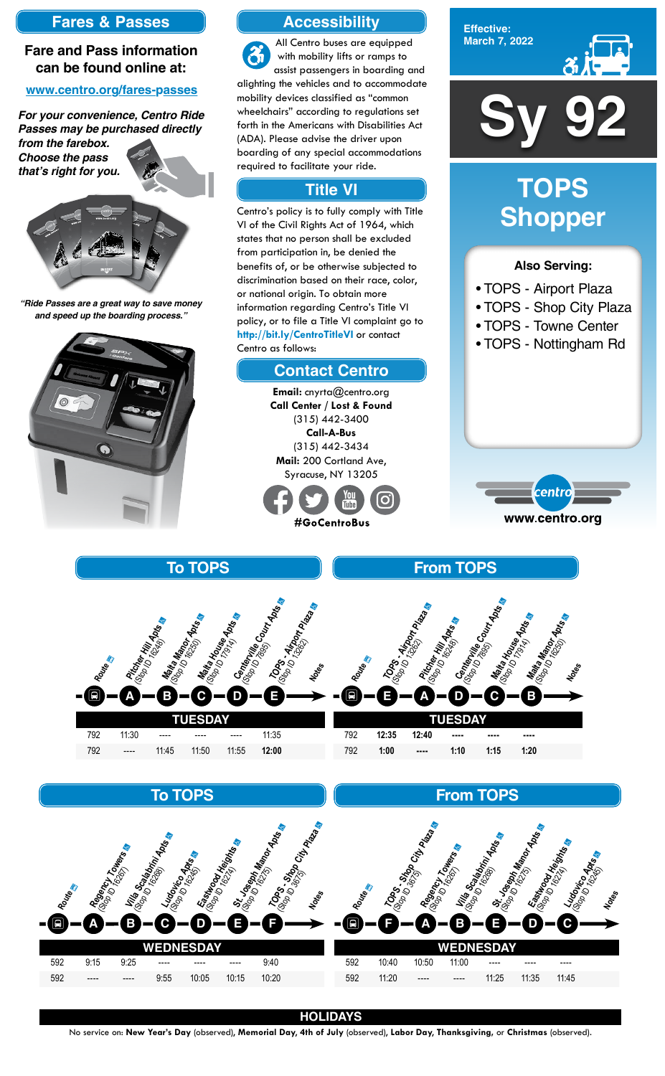### **HOLIDAYS**

No service on: **New Year's Day** (observed), **Memorial Day**, **4th of July** (observed), **Labor Day**, **Thanksgiving,** or **Christmas** (observed).

**TUESDAY** 792 11:30 ---- ---- ---- 11:35 792 ---- 11:45 11:50 11:55 **12:00 To TOPS Centerville Court Apts** Sales **D Malta House Apts**<br><sup>Robot</sup> Of **Pouse Apts**<br>Ca. (Strate House **Malta Manor Apts**<br><sup>Robot</sup> Manor Apts<br>Mr., (St. 115 Mz.)<br>1000 10 1620r **Pitcher Hill Apts<br><sup>Rigg</sup>o Der Hill Apts<br>M** (St. Cher Hill<br>(Stop 10 1624)<br>12 September **A** (St. **4; Airo) Route** a ¿ **Notes B C E TUESDAY** 792 **12:35 12:40 ---- ---- ----** 792 **1:00 ---- 1:10 1:15 1:20 From TOPS Malta House 1990**<br><sup>Robot</sup> 01990 1990<br>Mr., (Strate House) **C Centerville Court Apts** (St. 116 Mile) **Pitcher Hill Apts &** (St. Cher Hitl<br>Nov 10 1648 TOPS - Airport Page<br><sup>76/07</sup> - Airport Page<br>- Motop (Strong India) **E Malta Manor Apts**<br><sup>Robot</sup> Manor Apts<br>. (Strong)<br>10000 16200 **Route** a ¿ **Notes A D B**



**Effective: March 7, 2022**



## **Also Serving:**

- TOPS Airport Plaza
- TOPS Shop City Plaza
- TOPS Towne Center
- TOPS Nottingham Rd



# **TOPS Shopper**

## **To TOPS**

| Routes<br>Ξ  |       | Regard To Due of | Killa Scalabrix<br><sup>Goolo</sup> Teadmix<br><sup>Goolo</sup> Teadmix Apts | <b>Ludoirco Apts</b> | <b>Eastwack Heights</b> | St. Joseph Manch Ads<br><b>ROPS-SAP</b> | City Place<br>Notes | Route<br>$\blacksquare$ | 1,000-0-001 | City Place | Regency Towers<br>B | <b>Villa Scalabri</b><br><sup>130</sup> 10 Tcalabrii Apts | $\mathfrak{G}$<br>St. Joseph Manch Abse | <b>Eastwoothering Rivers</b><br><b>Ludoirco Apes</b><br>C | Notes |
|--------------|-------|------------------|------------------------------------------------------------------------------|----------------------|-------------------------|-----------------------------------------|---------------------|-------------------------|-------------|------------|---------------------|-----------------------------------------------------------|-----------------------------------------|-----------------------------------------------------------|-------|
| <b>ESDAY</b> |       |                  |                                                                              |                      |                         |                                         |                     |                         | ESDAY       |            |                     |                                                           |                                         |                                                           |       |
| 592          | 9:15  | 9:25             | $---$                                                                        | $---$                | ----                    | 9:40                                    |                     | 592                     | 10:40       | 10:50      | 11:00               | ----                                                      | ----                                    | ----                                                      |       |
| 592          | $---$ | ----             | 9:55                                                                         | 10:05                | 10:15                   | 10:20                                   |                     | 592                     | 11:20       | ----       | ----                | 11:25                                                     | 11:35                                   | 11:45                                                     |       |

#### **From TOPS**

# **Accessibility**

# **Contact Centro**

# **Title VI**

All Centro buses are equipped  $\mathbf{\hat{a}}$ with mobility lifts or ramps to assist passengers in boarding and alighting the vehicles and to accommodate mobility devices classified as "common wheelchairs" according to regulations set forth in the Americans with Disabilities Act (ADA). Please advise the driver upon boarding of any special accommodations required to facilitate your ride.

Centro's policy is to fully comply with Title VI of the Civil Rights Act of 1964, which states that no person shall be excluded from participation in, be denied the benefits of, or be otherwise subjected to discrimination based on their race, color, or national origin. To obtain more information regarding Centro's Title VI policy, or to file a Title VI complaint go to **http://bit.ly/CentroTitleVI** or contact Centro as follows:

> **Email:** cnyrta@centro.org **Call Center / Lost & Found** (315) 442-3400 **Call-A-Bus** (315) 442-3434 **Mail:** 200 Cortland Ave, Syracuse, NY 13205



## **Fares & Passes**

## **Fare and Pass information can be found online at:**

#### **www.centro.org/fares-passes**

*"Ride Passes are a great way to save money and speed up the boarding process."*



*For your convenience, Centro Ride Passes may be purchased directly* 

*from the farebox. Choose the pass that's right for you.*